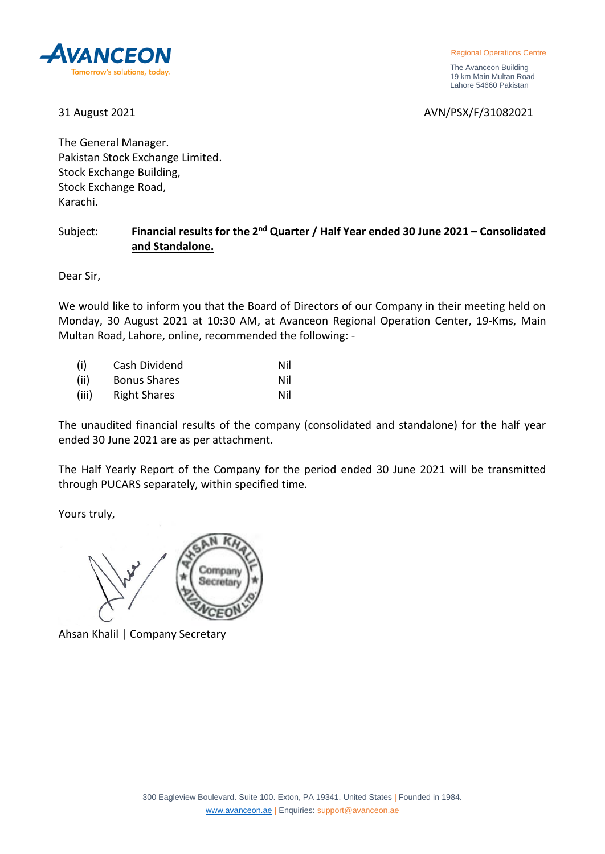

The Avanceon Building 19 km Main Multan Road Lahore 54660 Pakistan

31 August 2021 AVN/PSX/F/31082021

The General Manager. Pakistan Stock Exchange Limited. Stock Exchange Building, Stock Exchange Road, Karachi.

## Subject: **Financial results for the 2nd Quarter / Half Year ended 30 June 2021 – Consolidated and Standalone.**

Dear Sir,

We would like to inform you that the Board of Directors of our Company in their meeting held on Monday, 30 August 2021 at 10:30 AM, at Avanceon Regional Operation Center, 19-Kms, Main Multan Road, Lahore, online, recommended the following: -

| (i)   | Cash Dividend       | Nil |
|-------|---------------------|-----|
| (ii)  | <b>Bonus Shares</b> | Nil |
| (iii) | <b>Right Shares</b> | Nil |

The unaudited financial results of the company (consolidated and standalone) for the half year ended 30 June 2021 are as per attachment.

The Half Yearly Report of the Company for the period ended 30 June 2021 will be transmitted through PUCARS separately, within specified time.

Yours truly,



Ahsan Khalil | Company Secretary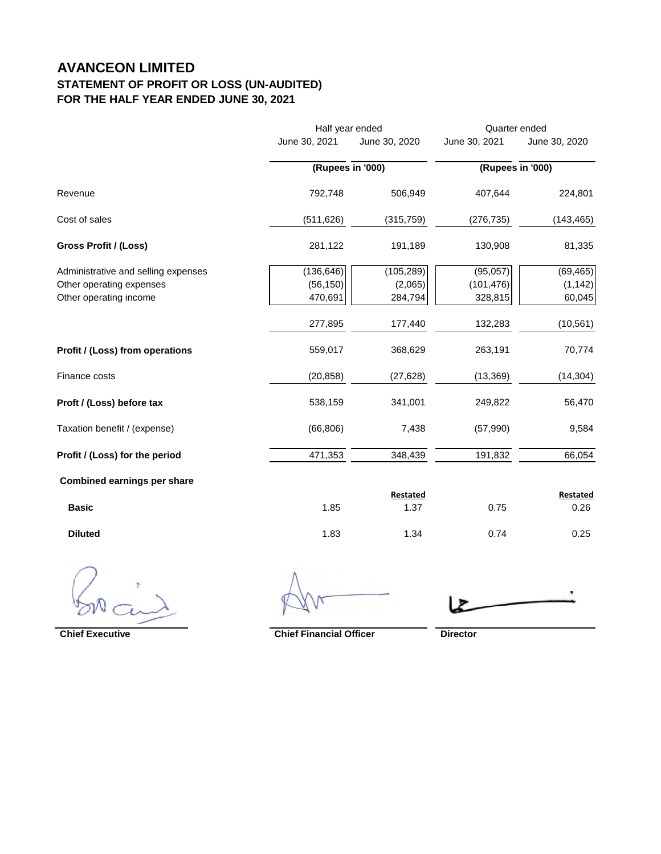## **AVANCEON LIMITED STATEMENT OF PROFIT OR LOSS (UN-AUDITED) FOR THE HALF YEAR ENDED JUNE 30, 2021**

|                                     |               | Half year ended  |               | Quarter ended    |  |
|-------------------------------------|---------------|------------------|---------------|------------------|--|
|                                     | June 30, 2021 | June 30, 2020    | June 30, 2021 | June 30, 2020    |  |
|                                     |               | (Rupees in '000) |               | (Rupees in '000) |  |
| Revenue                             | 792,748       | 506,949          | 407,644       | 224,801          |  |
| Cost of sales                       | (511, 626)    | (315, 759)       | (276, 735)    | (143, 465)       |  |
| Gross Profit / (Loss)               | 281,122       | 191,189          | 130,908       | 81,335           |  |
| Administrative and selling expenses | (136, 646)    | (105, 289)       | (95,057)      | (69, 465)        |  |
| Other operating expenses            | (56, 150)     | (2,065)          | (101, 476)    | (1, 142)         |  |
| Other operating income              | 470,691       | 284,794          | 328,815       | 60,045           |  |
|                                     | 277,895       | 177,440          | 132,283       | (10, 561)        |  |
| Profit / (Loss) from operations     | 559,017       | 368,629          | 263,191       | 70,774           |  |
| Finance costs                       | (20, 858)     | (27, 628)        | (13, 369)     | (14, 304)        |  |
| Proft / (Loss) before tax           | 538,159       | 341,001          | 249,822       | 56,470           |  |
| Taxation benefit / (expense)        | (66, 806)     | 7,438            | (57, 990)     | 9,584            |  |
| Profit / (Loss) for the period      | 471,353       | 348,439          | 191,832       | 66,054           |  |
| <b>Combined earnings per share</b>  |               |                  |               |                  |  |
|                                     |               | Restated         |               | <b>Restated</b>  |  |
| <b>Basic</b>                        | 1.85          | 1.37             | 0.75          | 0.26             |  |

**Diluted** 1.83 1.34 0.74 0.25

**Chief Executive Chief Financial Officer Director**